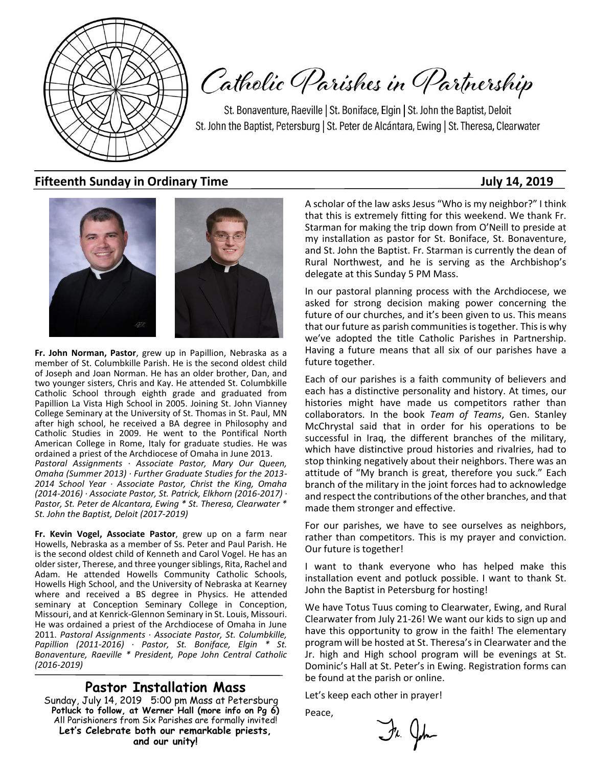

Catholic Parishes in Partnership

St. Bonaventure, Raeville | St. Boniface, Elgin | St. John the Baptist, Deloit St. John the Baptist, Petersburg | St. Peter de Alcántara, Ewing | St. Theresa, Clearwater

## **Fifteenth Sunday in Ordinary Time July 14, 2019**



**Fr. John Norman, Pastor**, grew up in Papillion, Nebraska as a member of St. Columbkille Parish. He is the second oldest child of Joseph and Joan Norman. He has an older brother, Dan, and two younger sisters, Chris and Kay. He attended St. Columbkille Catholic School through eighth grade and graduated from Papillion La Vista High School in 2005. Joining St. John Vianney College Seminary at the University of St. Thomas in St. Paul, MN after high school, he received a BA degree in Philosophy and Catholic Studies in 2009. He went to the Pontifical North American College in Rome, Italy for graduate studies. He was ordained a priest of the Archdiocese of Omaha in June 2013.

*Pastoral Assignments · Associate Pastor, Mary Our Queen, Omaha (Summer 2013) · Further Graduate Studies for the 2013- 2014 School Year · Associate Pastor, Christ the King, Omaha (2014-2016) · Associate Pastor, St. Patrick, Elkhorn (2016-2017) · Pastor, St. Peter de Alcantara, Ewing \* St. Theresa, Clearwater \* St. John the Baptist, Deloit (2017-2019)*

**Fr. Kevin Vogel, Associate Pastor**, grew up on a farm near Howells, Nebraska as a member of Ss. Peter and Paul Parish. He is the second oldest child of Kenneth and Carol Vogel. He has an older sister, Therese, and three younger siblings, Rita, Rachel and Adam. He attended Howells Community Catholic Schools, Howells High School, and the University of Nebraska at Kearney where and received a BS degree in Physics. He attended seminary at Conception Seminary College in Conception, Missouri, and at Kenrick-Glennon Seminary in St. Louis, Missouri. He was ordained a priest of the Archdiocese of Omaha in June 2011. *Pastoral Assignments · Associate Pastor, St. Columbkille, Papillion (2011-2016) · Pastor, St. Boniface, Elgin \* St. Bonaventure, Raeville \* President, Pope John Central Catholic (2016-2019)*

## **Pastor Installation Mass**

Sunday, July 14, 2019 5:00 pm Mass at Petersburg **Potluck to follow, at Werner Hall (more info on Pg 6)** All Parishioners from Six Parishes are formally invited! **Let's Celebrate both our remarkable priests, and our unity!**

A scholar of the law asks Jesus "Who is my neighbor?" I think that this is extremely fitting for this weekend. We thank Fr. Starman for making the trip down from O'Neill to preside at my installation as pastor for St. Boniface, St. Bonaventure, and St. John the Baptist. Fr. Starman is currently the dean of Rural Northwest, and he is serving as the Archbishop's delegate at this Sunday 5 PM Mass.

In our pastoral planning process with the Archdiocese, we asked for strong decision making power concerning the future of our churches, and it's been given to us. This means that our future as parish communities is together. This is why we've adopted the title Catholic Parishes in Partnership. Having a future means that all six of our parishes have a future together.

Each of our parishes is a faith community of believers and each has a distinctive personality and history. At times, our histories might have made us competitors rather than collaborators. In the book *Team of Teams*, Gen. Stanley McChrystal said that in order for his operations to be successful in Iraq, the different branches of the military, which have distinctive proud histories and rivalries, had to stop thinking negatively about their neighbors. There was an attitude of "My branch is great, therefore you suck." Each branch of the military in the joint forces had to acknowledge and respect the contributions of the other branches, and that made them stronger and effective.

For our parishes, we have to see ourselves as neighbors, rather than competitors. This is my prayer and conviction. Our future is together!

I want to thank everyone who has helped make this installation event and potluck possible. I want to thank St. John the Baptist in Petersburg for hosting!

We have Totus Tuus coming to Clearwater, Ewing, and Rural Clearwater from July 21-26! We want our kids to sign up and have this opportunity to grow in the faith! The elementary program will be hosted at St. Theresa's in Clearwater and the Jr. high and High school program will be evenings at St. Dominic's Hall at St. Peter's in Ewing. Registration forms can be found at the parish or online.

Let's keep each other in prayer!

Peace,

Fr. John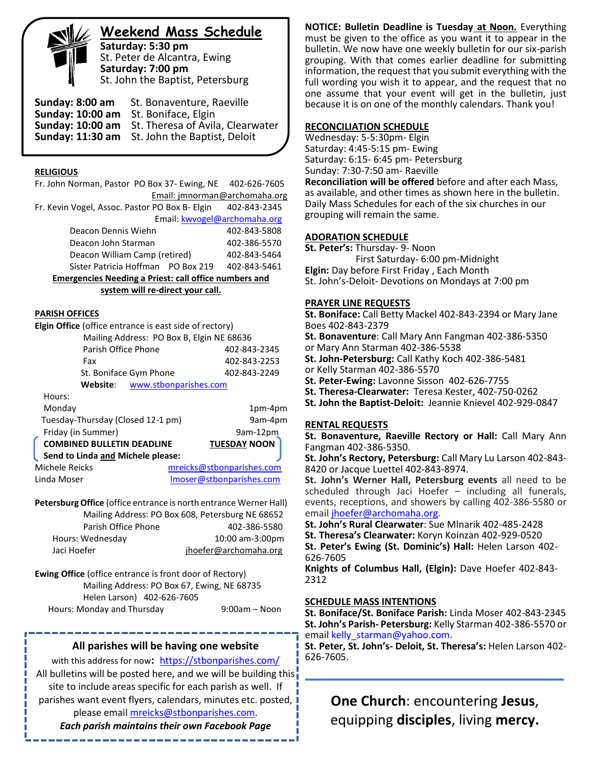**Weekend Mass Schedule**

**Saturday: 5:30 pm** St. Peter de Alcantra, Ewing **Saturday: 7:00 pm** St. John the Baptist, Petersburg

**Sunday: 8:00 am** St. Bonaventure, Raeville **Sunday: 10:00 am** St. Boniface, Elgin **Sunday: 10:00 am** St. Theresa of Avila, Clearwater **Sunday: 11:30 am** St. John the Baptist, Deloit

#### **RELIGIOUS**

Fr. John Norman, Pastor PO Box 37- Ewing, NE 402-626-7605 Email: jmnorman@archomaha.org Fr. Kevin Vogel, Assoc. Pastor PO Box B- Elgin 402-843-2345 Email: [kwvogel@archomaha.org](mailto:kwvogel@archomaha.org)

|                                                             |  | Elliall. KWVUKCIW di Chunidha.UI K |
|-------------------------------------------------------------|--|------------------------------------|
| Deacon Dennis Wiehn                                         |  | 402-843-5808                       |
| Deacon John Starman                                         |  | 402-386-5570                       |
| Deacon William Camp (retired)                               |  | 402-843-5464                       |
| Sister Patricia Hoffman PO Box 219                          |  | 402-843-5461                       |
| seanna an a-Mhainig a' Duineach an Uimilia a sua ann an a-m |  |                                    |

**Emergencies Needing a Priest: call office numbers and system will re-direct your call.**

## **PARISH OFFICES**

| Elgin Office (office entrance is east side of rectory) |                                           |
|--------------------------------------------------------|-------------------------------------------|
|                                                        | Mailing Address: PO Box B, Elgin NE 68636 |
| Parish Office Phone                                    | 402-843-2345                              |
| Fax                                                    | 402-843-2253                              |
| St. Boniface Gym Phone                                 | 402-843-2249                              |
| Website:                                               | www.stbonparishes.com                     |
| Hours:                                                 |                                           |
| Monday                                                 | 1pm-4pm                                   |
| Tuesday-Thursday (Closed 12-1 pm)                      | 9am-4pm                                   |
| Friday (in Summer)                                     | 9am-12pm                                  |
| <b>COMBINED BULLETIN DEADLINE</b>                      | <b>TUESDAY NOON</b>                       |
| Send to Linda and Michele please:                      |                                           |
| Michele Reicks                                         | mreicks@stbonparishes.com                 |
| Linda Moser                                            | Imoser@stbonparishes.com                  |

**Petersburg Office** (office entrance is north entrance Werner Hall) Mailing Address: PO Box 608, Petersburg NE 68652 Parish Office Phone 402-386-5580 Hours: Wednesday 10:00 am-3:00pm Jaci Hoefer interesting ihoefer@archomaha.org

**Ewing Office** (office entrance is front door of Rectory) Mailing Address: PO Box 67, Ewing, NE 68735 Helen Larson) 402-626-7605 Hours: Monday and Thursday 19:00am – Noon

## **All parishes will be having one website**

with this address for now**:** <https://stbonparishes.com/> All bulletins will be posted here, and we will be building this site to include areas specific for each parish as well. If parishes want event flyers, calendars, minutes etc. posted, please email [mreicks@stbonparishes.com.](mailto:mreicks@stbonparishes.com)

*Each parish maintains their own Facebook Page*

**NOTICE: Bulletin Deadline is Tuesday at Noon.** Everything must be given to the office as you want it to appear in the bulletin. We now have one weekly bulletin for our six-parish grouping. With that comes earlier deadline for submitting information, the request that you submit everything with the full wording you wish it to appear, and the request that no one assume that your event will get in the bulletin, just because it is on one of the monthly calendars. Thank you!

#### **RECONCILIATION SCHEDULE**

Wednesday: 5-5:30pm- Elgin Saturday: 4:45-5:15 pm- Ewing Saturday: 6:15- 6:45 pm- Petersburg Sunday: 7:30-7:50 am- Raeville **Reconciliation will be offered** before and after each Mass, as available, and other times as shown here in the bulletin. Daily Mass Schedules for each of the six churches in our grouping will remain the same.

### **ADORATION SCHEDULE**

**St. Peter's:** Thursday- 9- Noon First Saturday- 6:00 pm-Midnight

**Elgin:** Day before First Friday , Each Month St. John's-Deloit- Devotions on Mondays at 7:00 pm

## **PRAYER LINE REQUESTS**

**St. Boniface:** Call Betty Mackel 402-843-2394 or Mary Jane Boes 402-843-2379

**St. Bonaventure**: Call Mary Ann Fangman 402-386-5350 or Mary Ann Starman 402-386-5538

**St. John-Petersburg:** Call Kathy Koch 402-386-5481

or Kelly Starman 402-386-5570

**St. Peter-Ewing:** Lavonne Sisson 402-626-7755

**St. Theresa-Clearwater:** Teresa Kester, 402-750-0262

**St. John the Baptist-Deloit:** Jeannie Knievel 402-929-0847

## **RENTAL REQUESTS**

**St. Bonaventure, Raeville Rectory or Hall:** Call Mary Ann Fangman 402-386-5350.

**St. John's Rectory, Petersburg:** Call Mary Lu Larson 402-843- 8420 or Jacque Luettel 402-843-8974.

**St. John's Werner Hall, Petersburg events** all need to be scheduled through Jaci Hoefer – including all funerals, events, receptions, and showers by calling 402-386-5580 or email [jhoefer@archomaha.org.](mailto:jhoefer@archomaha.org)

**St. John's Rural Clearwater**: Sue Mlnarik 402-485-2428

**St. Theresa's Clearwater:** Koryn Koinzan 402-929-0520

**St. Peter's Ewing (St. Dominic's) Hall:** Helen Larson 402- 626-7605

**Knights of Columbus Hall, (Elgin):** Dave Hoefer 402-843- 2312

## **SCHEDULE MASS INTENTIONS**

**St. Boniface/St. Boniface Parish:** Linda Moser 402-843-2345 **St. John's Parish- Petersburg:** Kelly Starman 402-386-5570 or email [kelly\\_starman@yahoo.com.](mailto:kelly_starman@yahoo.com)

**St. Peter, St. John's- Deloit, St. Theresa's:** Helen Larson 402- 626-7605.

 **One Church**: encountering **Jesus**, equipping **disciples**, living **mercy.**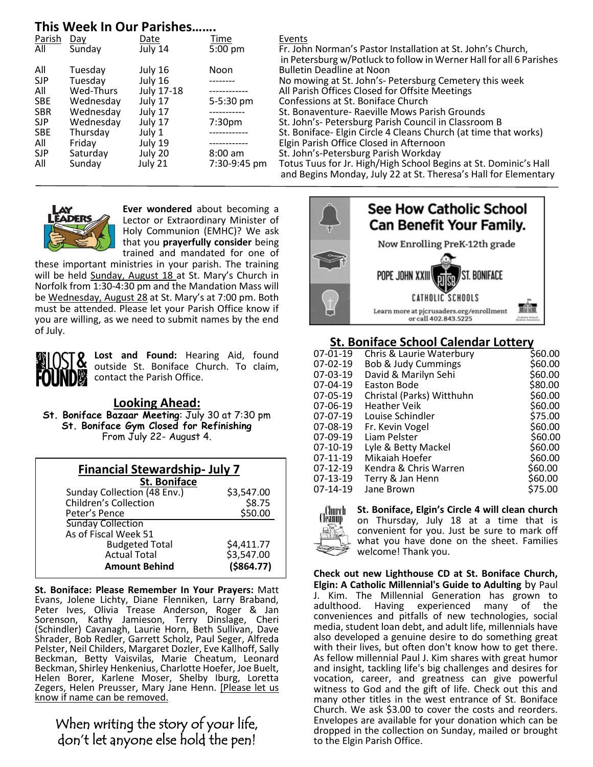# **This Week In Our Parishes…….**

| Parish     | Day              | Date       | Time               | Events             |
|------------|------------------|------------|--------------------|--------------------|
| All        | Sunday           | July 14    | 5:00 pm            | Fr. Joh            |
|            |                  |            |                    | in Pete            |
| All        | Tuesday          | July 16    | Noon               | <b>Bulleti</b>     |
| <b>SJP</b> | Tuesday          | July 16    | --------           | No mo              |
| All        | <b>Wed-Thurs</b> | July 17-18 |                    | All Pari           |
| <b>SBE</b> | Wednesday        | July 17    | 5-5:30 pm          | Confes             |
| <b>SBR</b> | Wednesday        | July 17    |                    | St. Bor            |
| <b>SJP</b> | Wednesday        | July 17    | 7:30 <sub>pm</sub> | St. Joh            |
| <b>SBE</b> | Thursday         | July 1     |                    | St. Bor            |
| All        | Friday           | July 19    |                    | Elgin P            |
| <b>SJP</b> | Saturday         | July 20    | $8:00$ am          | St. Joh            |
| All        | Sunday           | July 21    | 7:30-9:45 pm       | Totus <sup>-</sup> |
|            |                  |            |                    |                    |

Fr. John Norman's Pastor Installation at St. John's Church, in Petersburg w/Potluck to follow in Werner Hall for all 6 Parishes **Bulletin Deadline at Noon** No mowing at St. John's- Petersburg Cemetery this week All Parish Offices Closed for Offsite Meetings Confessions at St. Boniface Church St. Bonaventure- Raeville Mows Parish Grounds St. John's- Petersburg Parish Council in Classroom B St. Boniface- Elgin Circle 4 Cleans Church (at time that works) Elgin Parish Office Closed in Afternoon St. John's-Petersburg Parish Workday Totus Tuus for Jr. High/High School Begins at St. Dominic's Hall and Begins Monday, July 22 at St. Theresa's Hall for Elementary



**Ever wondered** about becoming a Lector or Extraordinary Minister of Holy Communion (EMHC)? We ask that you **prayerfully consider** being trained and mandated for one of

these important ministries in your parish. The training will be held Sunday, August 18 at St. Mary's Church in Norfolk from 1:30-4:30 pm and the Mandation Mass will be Wednesday, August 28 at St. Mary's at 7:00 pm. Both must be attended. Please let your Parish Office know if you are willing, as we need to submit names by the end of July.



ŗ

**Lost and Found:** Hearing Aid, found outside St. Boniface Church. To claim, contact the Parish Office.

**Looking Ahead:**

**St. Boniface Bazaar Meeting**: July 30 at 7:30 pm **St. Boniface Gym Closed for Refinishing** From July 22- August 4.

| <b>Financial Stewardship- July 7</b>  |            |  |  |  |  |
|---------------------------------------|------------|--|--|--|--|
| <b>St. Boniface</b>                   |            |  |  |  |  |
| Sunday Collection (48 Env.)           | \$3,547.00 |  |  |  |  |
| <b>Children's Collection</b>          | \$8.75     |  |  |  |  |
| \$50.00<br>Peter's Pence              |            |  |  |  |  |
| <b>Sunday Collection</b>              |            |  |  |  |  |
| As of Fiscal Week 51                  |            |  |  |  |  |
| <b>Budgeted Total</b>                 | \$4,411.77 |  |  |  |  |
| \$3,547.00<br><b>Actual Total</b>     |            |  |  |  |  |
| $($ \$864.77)<br><b>Amount Behind</b> |            |  |  |  |  |

**St. Boniface: Please Remember In Your Prayers:** Matt Evans, Jolene Lichty, Diane Flenniken, Larry Braband, Peter Ives, Olivia Trease Anderson, Roger & Jan Sorenson, Kathy Jamieson, Terry Dinslage, Cheri (Schindler) Cavanagh, Laurie Horn, Beth Sullivan, Dave Shrader, Bob Redler, Garrett Scholz, Paul Seger, Alfreda Pelster, Neil Childers, Margaret Dozler, Eve Kallhoff, Sally Beckman, Betty Vaisvilas, Marie Cheatum, Leonard Beckman, Shirley Henkenius, Charlotte Hoefer, Joe Buelt, Helen Borer, Karlene Moser, Shelby Iburg, Loretta Zegers, Helen Preusser, Mary Jane Henn. [Please let us know if name can be removed.

# When writing the story of your life, don't let anyone else hold the pen!



# **St. Boniface School Calendar Lottery**

| $07-01-19$ | Chris & Laurie Waterbury  | \$60.00 |
|------------|---------------------------|---------|
| 07-02-19   | Bob & Judy Cummings       | \$60.00 |
| 07-03-19   | David & Marilyn Sehi      | \$60.00 |
| 07-04-19   | Easton Bode               | \$80.00 |
| 07-05-19   | Christal (Parks) Witthuhn | \$60.00 |
| 07-06-19   | <b>Heather Veik</b>       | \$60.00 |
| 07-07-19   | Louise Schindler          | \$75.00 |
| 07-08-19   | Fr. Kevin Vogel           | \$60.00 |
| 07-09-19   | Liam Pelster              | \$60.00 |
| $07-10-19$ | Lyle & Betty Mackel       | \$60.00 |
| 07-11-19   | Mikaiah Hoefer            | \$60.00 |
| $07-12-19$ | Kendra & Chris Warren     | \$60.00 |
| 07-13-19   | Terry & Jan Henn          | \$60.00 |
| $07-14-19$ | Jane Brown                | \$75.00 |
|            |                           |         |

.Church **St. Boniface, Elgin's Circle 4 will clean church**  on Thursday, July 18 at a time that is convenient for you. Just be sure to mark off what you have done on the sheet. Families welcome! Thank you.

**Check out new Lighthouse CD at St. Boniface Church, Elgin: A Catholic Millennial's Guide to Adulting** by Paul J. Kim. The Millennial Generation has grown to experienced many of the conveniences and pitfalls of new technologies, social media, student loan debt, and adult life, millennials have also developed a genuine desire to do something great with their lives, but often don't know how to get there. As fellow millennial Paul J. Kim shares with great humor and insight, tackling life's big challenges and desires for vocation, career, and greatness can give powerful witness to God and the gift of life. Check out this and many other titles in the west entrance of St. Boniface Church. We ask \$3.00 to cover the costs and reorders. Envelopes are available for your donation which can be dropped in the collection on Sunday, mailed or brought to the Elgin Parish Office.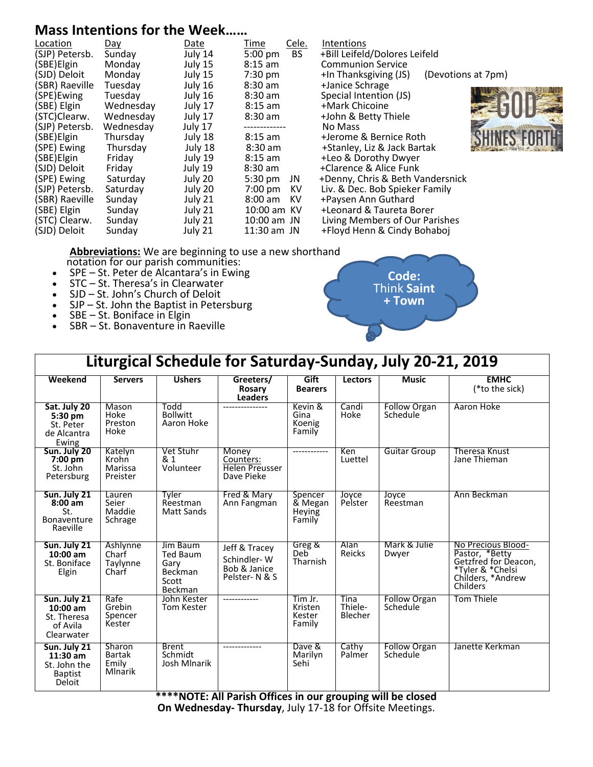# **Mass Intentions for the Week……**

| Location<br>Day<br>(SJP) Petersb.<br>(SBE) Elgin<br>(SJD) Deloit<br>(SBR) Raeville<br>(SPE)Ewing<br>(SBE) Elgin<br>(STC)Clearw.<br>(SJP) Petersb.<br>(SBE) Elgin<br>(SPE) Ewing<br>(SBE) Elgin<br>(SJD) Deloit<br>(SPE) Ewing<br>(SJP) Petersb.<br>(SBR) Raeville<br>(SBE) Elgin<br>(STC) Clearw.<br>(SJD) Deloit | Sunday<br>Monday<br>Monday<br>Tuesday<br>Tuesday<br>Wednesday<br>Wednesday<br>Wednesday<br>Thursday<br>Thursday<br>Friday<br>Friday<br>Saturday<br>Saturday<br>Sunday<br>Sunday<br>Sunday<br>Sunday | Date<br>July 14<br>July 15<br>July 15<br>July 16<br>July 16<br>July 17<br>July 17<br>July 17<br>July 18<br>July 18<br>July 19<br>July 19<br>July 20<br>July 20<br>July 21<br>July 21<br>July 21<br>July 21 | Time<br>5:00 pm<br>$8:15$ am<br>$7:30$ pm<br>$8:30$ am<br>$8:30$ am<br>$8:15$ am<br>$8:30$ am<br>$8:15$ am<br>$8:30$ am<br>$8:15$ am<br>$8:30$ am<br>5:30 pm<br>$7:00 \text{ pm}$<br>$8:00 \text{ am}$<br>10:00 am KV<br>$10:00$ am JN<br>$11:30$ am JN | Cele.<br><b>BS</b><br>JN<br>KV<br>KV | Intentions<br>+Bill Leifeld/Dolores Leifeld<br><b>Communion Service</b><br>+In Thanksgiving (JS)<br>+Janice Schrage<br>Special Intention (JS)<br>+Mark Chicoine<br>+John & Betty Thiele<br>No Mass<br>+Jerome & Bernice Roth<br>+Stanley, Liz & Jack Bartak<br>+Leo & Dorothy Dwyer<br>+Clarence & Alice Funk<br>+Denny, Chris & Beth Vandersnick<br>Liv. & Dec. Bob Spieker Family<br>+Paysen Ann Guthard<br>+Leonard & Taureta Borer<br>Living Members of Our Parishes<br>+Floyd Henn & Cindy Bohaboj | (Devotions at 7pm) |  |
|-------------------------------------------------------------------------------------------------------------------------------------------------------------------------------------------------------------------------------------------------------------------------------------------------------------------|-----------------------------------------------------------------------------------------------------------------------------------------------------------------------------------------------------|------------------------------------------------------------------------------------------------------------------------------------------------------------------------------------------------------------|---------------------------------------------------------------------------------------------------------------------------------------------------------------------------------------------------------------------------------------------------------|--------------------------------------|---------------------------------------------------------------------------------------------------------------------------------------------------------------------------------------------------------------------------------------------------------------------------------------------------------------------------------------------------------------------------------------------------------------------------------------------------------------------------------------------------------|--------------------|--|
|-------------------------------------------------------------------------------------------------------------------------------------------------------------------------------------------------------------------------------------------------------------------------------------------------------------------|-----------------------------------------------------------------------------------------------------------------------------------------------------------------------------------------------------|------------------------------------------------------------------------------------------------------------------------------------------------------------------------------------------------------------|---------------------------------------------------------------------------------------------------------------------------------------------------------------------------------------------------------------------------------------------------------|--------------------------------------|---------------------------------------------------------------------------------------------------------------------------------------------------------------------------------------------------------------------------------------------------------------------------------------------------------------------------------------------------------------------------------------------------------------------------------------------------------------------------------------------------------|--------------------|--|

**Abbreviations:** We are beginning to use a new shorthand notation for our parish communities:

- SPE St. Peter de Alcantara's in Ewing
- STC St. Theresa's in Clearwater
- SJD St. John's Church of Deloit
- SJP St. John the Baptist in Petersburg
- SBE St. Boniface in Elgin
- SBR St. Bonaventure in Raeville



| Liturgical Schedule for Saturday-Sunday, July 20-21, 2019              |                                                    |                                                                           |                                                                       |                                        |                            |                                 |                                                                                                                                |
|------------------------------------------------------------------------|----------------------------------------------------|---------------------------------------------------------------------------|-----------------------------------------------------------------------|----------------------------------------|----------------------------|---------------------------------|--------------------------------------------------------------------------------------------------------------------------------|
| Weekend                                                                | <b>Servers</b>                                     | <b>Ushers</b>                                                             | Greeters/<br>Rosary<br><b>Leaders</b>                                 | Gift<br><b>Bearers</b>                 | Lectors                    | <b>Music</b>                    | <b>EMHC</b><br>(*to the sick)                                                                                                  |
| Sat. July 20<br>$5:30$ pm<br>St. Peter<br>de Alcantra<br>Ewing         | Mason<br>Hoke<br>Preston<br>Hoke                   | Todd<br><b>Bollwitt</b><br>Aaron Hoke                                     |                                                                       | Kevin &<br>Gina<br>Koenig<br>Family    | Candi<br>Hoke              | <b>Follow Organ</b><br>Schedule | Aaron Hoke                                                                                                                     |
| Sun. July 20<br>$7:00 \text{ pm}$<br>St. John<br>Petersburg            | Katelyn<br>Krohn<br>Marissa<br>Preister            | Vet Stuhr<br>& 1<br>Volunteer                                             | Money<br>Counters:<br><b>Helen Preusser</b><br>Dave Pieke             | ------------                           | Ken<br>Luettel             | <b>Guitar Group</b>             | <b>Theresa Knust</b><br>Jane Thieman                                                                                           |
| Sun. July 21<br>$8:00$ am<br>St.<br><b>Bonaventure</b><br>Raeville     | Lauren<br>Seier<br>Maddie<br>Schrage               | Tyler<br>Reestman<br>Matt Sands                                           | Fred & Mary<br>Ann Fangman                                            | Spencer<br>& Megan<br>Heying<br>Family | Joyce<br>Pelster           | Joyce<br>Reestman               | Ann Beckman                                                                                                                    |
| Sun. July 21<br>$10:00$ am<br>St. Boniface<br>Elgin                    | Ashlynne<br>Charf<br>Taylynne<br>Charf             | Jim Baum<br><b>Ted Baum</b><br>Gary<br><b>Beckman</b><br>Scott<br>Beckman | Jeff & Tracey<br>Schindler-W<br>Bob & Janice<br>Pelster-N&S           | Greg &<br>Deb <sup>-</sup><br>Tharnish | Alan<br><b>Reicks</b>      | Mark & Julie<br>Dwyer           | No Precious Blood-<br>Pastor, *Betty<br>Getzfred for Deacon,<br>*Tyler & *Chelsi<br>Childers, *Andrew<br>Childers <sup>®</sup> |
| Sun. July 21<br>$10:00$ am<br>St. Theresa<br>of Avila<br>Clearwater    | Rafe<br>Grebin<br>Spencer<br>Kester                | John Kester<br>Tom Kester                                                 | ------------                                                          | Tim Jr.<br>Kristen<br>Kester<br>Family | Tina<br>Thiele-<br>Blecher | <b>Follow Organ</b><br>Schedule | Tom Thiele                                                                                                                     |
| Sun. July 21<br>$11:30$ am<br>St. John the<br><b>Baptist</b><br>Deloit | Sharon<br><b>Bartak</b><br>Emily<br><b>Mlnarik</b> | <b>Brent</b><br>Schmidt<br>Josh Mlnarik                                   | $***$ KNOTE $\cdot$ All Darich Offices in our grouning will be closed | Dave &<br>Marilyn<br>Sehi              | Cathy<br>Palmer            | <b>Follow Organ</b><br>Schedule | Janette Kerkman                                                                                                                |

**\*\*\*\*NOTE: All Parish Offices in our grouping will be closed On Wednesday- Thursday**, July 17-18 for Offsite Meetings.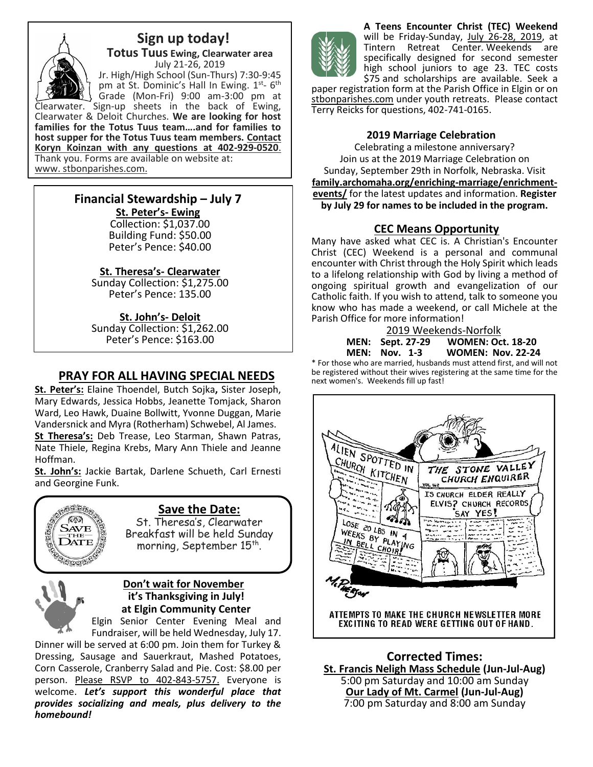

 **Sign up today! Totus Tuus Ewing, Clearwater area** July 21-26, 2019 Jr. High/High School (Sun-Thurs) 7:30-9:45 pm at St. Dominic's Hall In Ewing. 1st- 6<sup>th</sup> Grade (Mon-Fri) 9:00 am-3:00 pm at

Clearwater. Sign-up sheets in the back of Ewing, Clearwater & Deloit Churches. **We are looking for host families for the Totus Tuus team….and for families to host supper for the Totus Tuus team members. Contact Koryn Koinzan with any questions at 402-929-0520**. Thank you. Forms are available on website at: www. stbonparishes.com.

# **Financial Stewardship – July 7**

**St. Peter's- Ewing** Collection: \$1,037.00 Building Fund: \$50.00 Peter's Pence: \$40.00

## **St. Theresa's- Clearwater**

Sunday Collection: \$1,275.00 Peter's Pence: 135.00

## **St. John's- Deloit**

Sunday Collection: \$1,262.00 Peter's Pence: \$163.00

## **PRAY FOR ALL HAVING SPECIAL NEEDS**

**St. Peter's:** Elaine Thoendel, Butch Sojka**,** Sister Joseph, Mary Edwards, Jessica Hobbs, Jeanette Tomjack, Sharon Ward, Leo Hawk, Duaine Bollwitt, Yvonne Duggan, Marie Vandersnick and Myra (Rotherham) Schwebel, Al James. **St Theresa's:** Deb Trease, Leo Starman, Shawn Patras, Nate Thiele, Regina Krebs, Mary Ann Thiele and Jeanne Hoffman.

**St. John's:** Jackie Bartak, Darlene Schueth, Carl Ernesti and Georgine Funk.



# **Save the Date:**

St. Theresa's, Clearwater Breakfast will be held Sunday morning, September  $15^{\text{th}}$ .



## **Don't wait for November it's Thanksgiving in July! at Elgin Community Center**

Elgin Senior Center Evening Meal and Fundraiser, will be held Wednesday, July 17.

Dinner will be served at 6:00 pm. Join them for Turkey & Dressing, Sausage and Sauerkraut, Mashed Potatoes, Corn Casserole, Cranberry Salad and Pie. Cost: \$8.00 per person. Please RSVP to 402-843-5757. Everyone is welcome. *Let's support this wonderful place that provides socializing and meals, plus delivery to the homebound!*



**A Teens Encounter Christ (TEC) Weekend** will be Friday-Sunday, July 26-28, 2019, at<br>Tintern Retreat Center. Weekends are Retreat Center. Weekends are specifically designed for second semester high school juniors to age 23. TEC costs \$75 and scholarships are available. Seek a

paper registration form at the Parish Office in Elgin or on stbonparishes.com under youth retreats. Please contact Terry Reicks for questions, 402-741-0165.

## **2019 Marriage Celebration**

Celebrating a milestone anniversary? Join us at the 2019 Marriage Celebration on Sunday, September 29th in Norfolk, Nebraska. Visit **[family.archomaha.org/enriching-marriage/enrichment](http://family.archomaha.org/enriching-marriage/enrichment-events/)[events/](http://family.archomaha.org/enriching-marriage/enrichment-events/)** for the latest updates and information. **Register by July 29 for names to be included in the program.**

## **CEC Means Opportunity**

Many have asked what CEC is. A Christian's Encounter Christ (CEC) Weekend is a personal and communal encounter with Christ through the Holy Spirit which leads to a lifelong relationship with God by living a method of ongoing spiritual growth and evangelization of our Catholic faith. If you wish to attend, talk to someone you know who has made a weekend, or call Michele at the Parish Office for more information!

|               | 2019 Weekends-Norfolk   |                          |  |  |
|---------------|-------------------------|--------------------------|--|--|
|               | <b>MEN:</b> Sept. 27-29 | <b>WOMEN: Oct. 18-20</b> |  |  |
|               | <b>MEN: Nov. 1-3</b>    | <b>WOMEN: Nov. 22-24</b> |  |  |
| $\sim$ $\sim$ |                         |                          |  |  |

\* For those who are married, husbands must attend first, and will not be registered without their wives registering at the same time for the next women's. Weekends fill up fast!



**Corrected Times: St. Francis Neligh Mass Schedule (Jun-Jul-Aug)** 5:00 pm Saturday and 10:00 am Sunday **Our Lady of Mt. Carmel (Jun-Jul-Aug)** 7:00 pm Saturday and 8:00 am Sunday